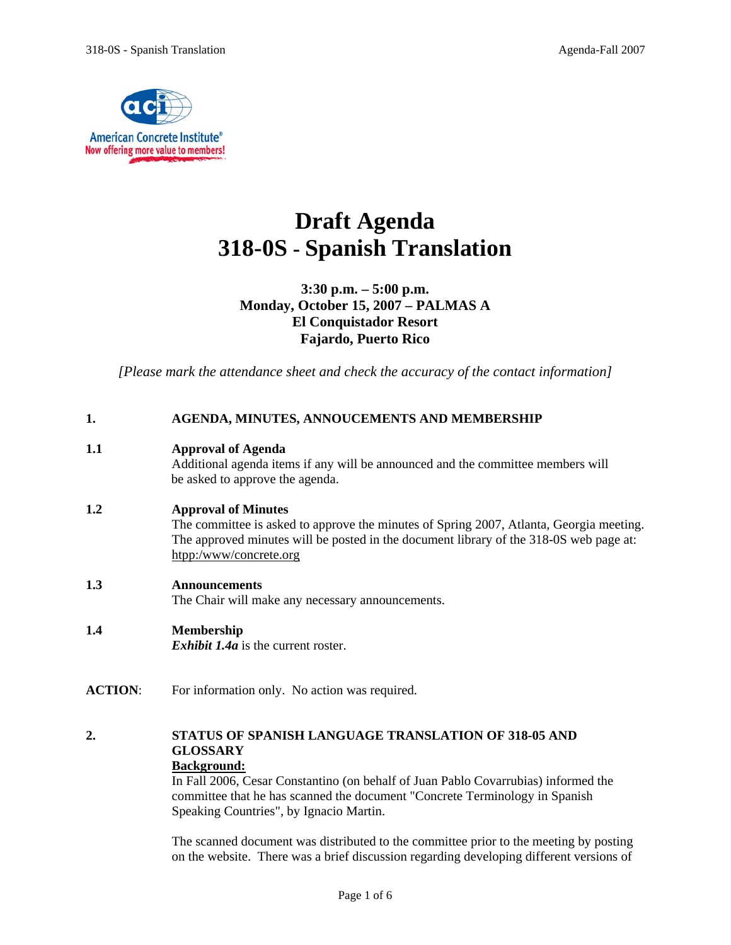

# **Draft Agenda 318-0S - Spanish Translation**

## **3:30 p.m. – 5:00 p.m. Monday, October 15, 2007 – PALMAS A El Conquistador Resort Fajardo, Puerto Rico**

*[Please mark the attendance sheet and check the accuracy of the contact information]* 

| 1.               | AGENDA, MINUTES, ANNOUCEMENTS AND MEMBERSHIP                                                                                                                                                                                              |  |
|------------------|-------------------------------------------------------------------------------------------------------------------------------------------------------------------------------------------------------------------------------------------|--|
| 1.1              | <b>Approval of Agenda</b><br>Additional agenda items if any will be announced and the committee members will<br>be asked to approve the agenda.                                                                                           |  |
| 1.2              | <b>Approval of Minutes</b><br>The committee is asked to approve the minutes of Spring 2007, Atlanta, Georgia meeting.<br>The approved minutes will be posted in the document library of the 318-0S web page at:<br>htpp:/www/concrete.org |  |
| 1.3              | <b>Announcements</b><br>The Chair will make any necessary announcements.                                                                                                                                                                  |  |
| 1.4              | Membership<br><i>Exhibit 1.4a</i> is the current roster.                                                                                                                                                                                  |  |
| <b>ACTION:</b>   | For information only. No action was required.                                                                                                                                                                                             |  |
| $\overline{2}$ . | <b>STATUS OF SPANISH LANGUAGE TRANSLATION OF 318-05 AND</b><br><b>GLOSSARY</b><br>Deelsenessed :                                                                                                                                          |  |

### **Background:**

In Fall 2006, Cesar Constantino (on behalf of Juan Pablo Covarrubias) informed the committee that he has scanned the document "Concrete Terminology in Spanish Speaking Countries", by Ignacio Martin.

The scanned document was distributed to the committee prior to the meeting by posting on the website. There was a brief discussion regarding developing different versions of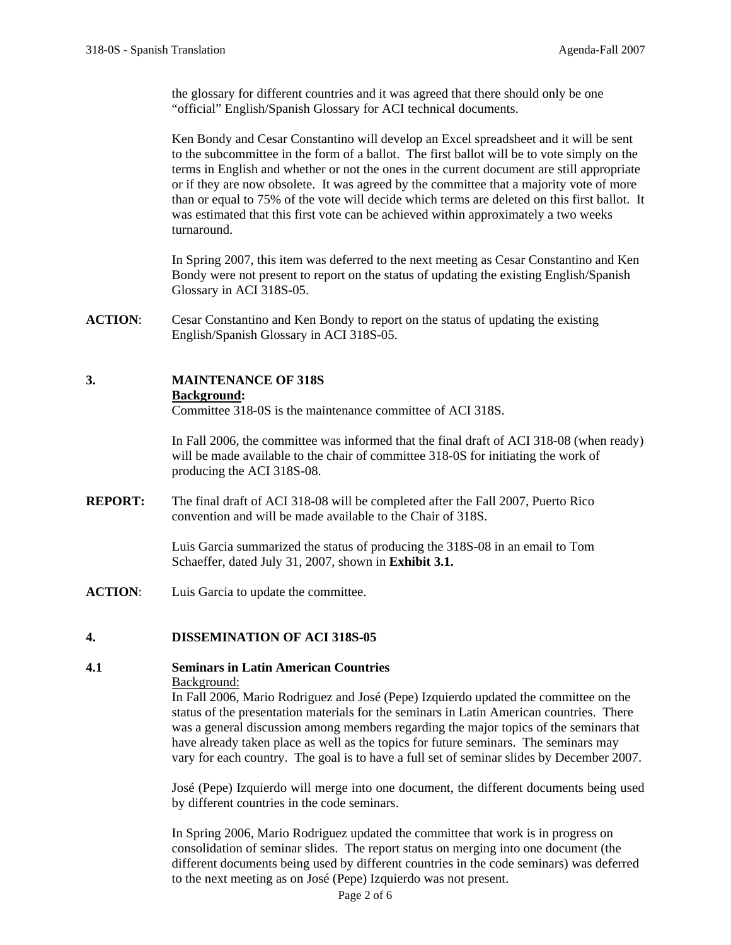the glossary for different countries and it was agreed that there should only be one "official" English/Spanish Glossary for ACI technical documents.

Ken Bondy and Cesar Constantino will develop an Excel spreadsheet and it will be sent to the subcommittee in the form of a ballot. The first ballot will be to vote simply on the terms in English and whether or not the ones in the current document are still appropriate or if they are now obsolete. It was agreed by the committee that a majority vote of more than or equal to 75% of the vote will decide which terms are deleted on this first ballot. It was estimated that this first vote can be achieved within approximately a two weeks turnaround.

In Spring 2007, this item was deferred to the next meeting as Cesar Constantino and Ken Bondy were not present to report on the status of updating the existing English/Spanish Glossary in ACI 318S-05.

**ACTION**: Cesar Constantino and Ken Bondy to report on the status of updating the existing English/Spanish Glossary in ACI 318S-05.

# **3. MAINTENANCE OF 318S**

### **Background:**

Committee 318-0S is the maintenance committee of ACI 318S.

In Fall 2006, the committee was informed that the final draft of ACI 318-08 (when ready) will be made available to the chair of committee 318-0S for initiating the work of producing the ACI 318S-08.

**REPORT:** The final draft of ACI 318-08 will be completed after the Fall 2007, Puerto Rico convention and will be made available to the Chair of 318S.

> Luis Garcia summarized the status of producing the 318S-08 in an email to Tom Schaeffer, dated July 31, 2007, shown in **Exhibit 3.1.**

**ACTION**: Luis Garcia to update the committee.

### **4. DISSEMINATION OF ACI 318S-05**

# **4.1 Seminars in Latin American Countries**

### Background:

In Fall 2006, Mario Rodriguez and José (Pepe) Izquierdo updated the committee on the status of the presentation materials for the seminars in Latin American countries. There was a general discussion among members regarding the major topics of the seminars that have already taken place as well as the topics for future seminars. The seminars may vary for each country. The goal is to have a full set of seminar slides by December 2007.

José (Pepe) Izquierdo will merge into one document, the different documents being used by different countries in the code seminars.

In Spring 2006, Mario Rodriguez updated the committee that work is in progress on consolidation of seminar slides. The report status on merging into one document (the different documents being used by different countries in the code seminars) was deferred to the next meeting as on José (Pepe) Izquierdo was not present.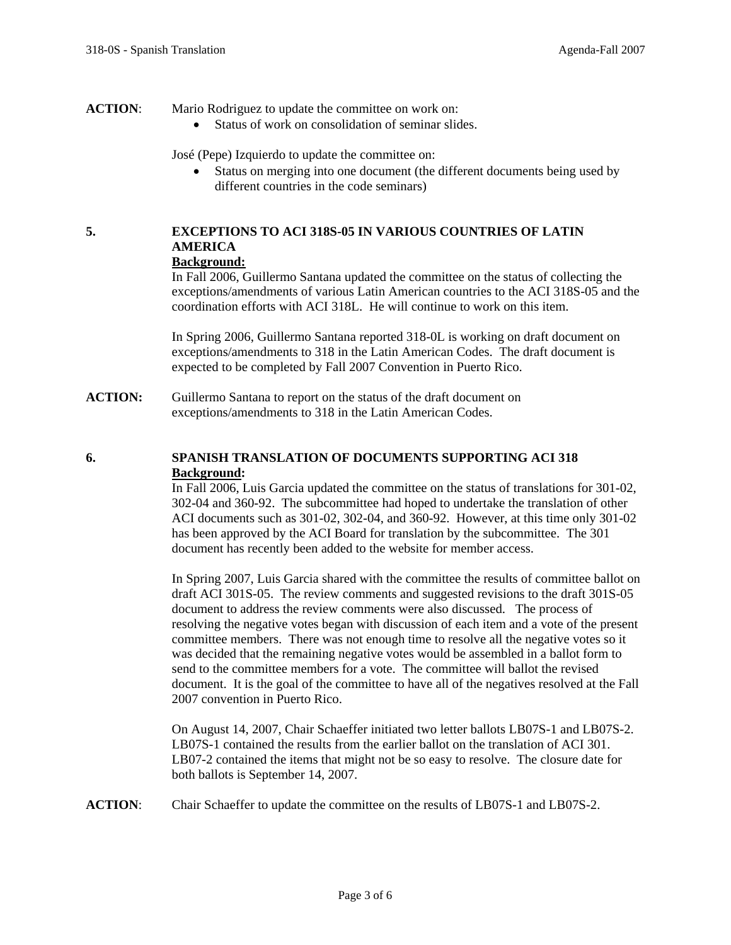### **ACTION:** Mario Rodriguez to update the committee on work on:

• Status of work on consolidation of seminar slides.

José (Pepe) Izquierdo to update the committee on:

• Status on merging into one document (the different documents being used by different countries in the code seminars)

# **5. EXCEPTIONS TO ACI 318S-05 IN VARIOUS COUNTRIES OF LATIN AMERICA**

# **Background:**

In Fall 2006, Guillermo Santana updated the committee on the status of collecting the exceptions/amendments of various Latin American countries to the ACI 318S-05 and the coordination efforts with ACI 318L. He will continue to work on this item.

In Spring 2006, Guillermo Santana reported 318-0L is working on draft document on exceptions/amendments to 318 in the Latin American Codes. The draft document is expected to be completed by Fall 2007 Convention in Puerto Rico.

**ACTION:** Guillermo Santana to report on the status of the draft document on exceptions/amendments to 318 in the Latin American Codes.

### **6. SPANISH TRANSLATION OF DOCUMENTS SUPPORTING ACI 318 Background:**

In Fall 2006, Luis Garcia updated the committee on the status of translations for 301-02, 302-04 and 360-92. The subcommittee had hoped to undertake the translation of other ACI documents such as 301-02, 302-04, and 360-92. However, at this time only 301-02 has been approved by the ACI Board for translation by the subcommittee. The 301 document has recently been added to the website for member access.

In Spring 2007, Luis Garcia shared with the committee the results of committee ballot on draft ACI 301S-05. The review comments and suggested revisions to the draft 301S-05 document to address the review comments were also discussed. The process of resolving the negative votes began with discussion of each item and a vote of the present committee members. There was not enough time to resolve all the negative votes so it was decided that the remaining negative votes would be assembled in a ballot form to send to the committee members for a vote. The committee will ballot the revised document. It is the goal of the committee to have all of the negatives resolved at the Fall 2007 convention in Puerto Rico.

On August 14, 2007, Chair Schaeffer initiated two letter ballots LB07S-1 and LB07S-2. LB07S-1 contained the results from the earlier ballot on the translation of ACI 301. LB07-2 contained the items that might not be so easy to resolve. The closure date for both ballots is September 14, 2007.

**ACTION**: Chair Schaeffer to update the committee on the results of LB07S-1 and LB07S-2.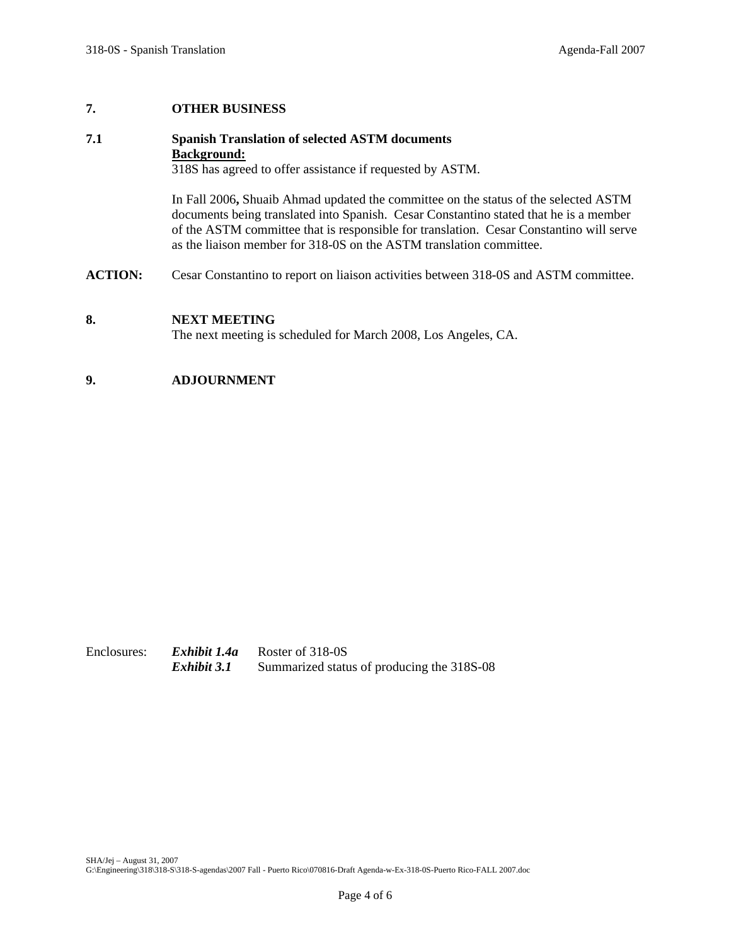### **7. OTHER BUSINESS**

### **7.1 Spanish Translation of selected ASTM documents Background:**

318S has agreed to offer assistance if requested by ASTM.

In Fall 2006**,** Shuaib Ahmad updated the committee on the status of the selected ASTM documents being translated into Spanish. Cesar Constantino stated that he is a member of the ASTM committee that is responsible for translation. Cesar Constantino will serve as the liaison member for 318-0S on the ASTM translation committee.

**ACTION:** Cesar Constantino to report on liaison activities between 318-0S and ASTM committee.

### **8. NEXT MEETING**

The next meeting is scheduled for March 2008, Los Angeles, CA.

### **9. ADJOURNMENT**

Enclosures: *Exhibit 1.4a* Roster of 318-0S *Exhibit 3.1* Summarized status of producing the 318S-08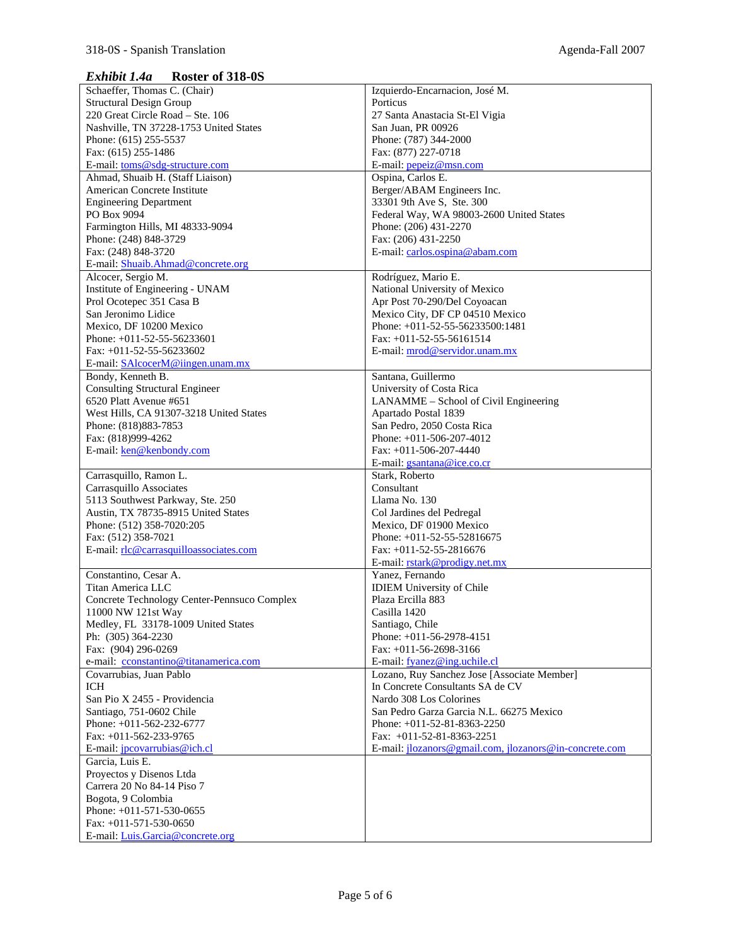### *Exhibit 1.4a* **Roster of 318-0S**

| Schaeffer, Thomas C. (Chair)                | Izquierdo-Encarnacion, José M.                         |
|---------------------------------------------|--------------------------------------------------------|
| <b>Structural Design Group</b>              | Porticus                                               |
| 220 Great Circle Road - Ste. 106            | 27 Santa Anastacia St-El Vigia                         |
| Nashville, TN 37228-1753 United States      | San Juan, PR 00926                                     |
| Phone: (615) 255-5537                       | Phone: (787) 344-2000                                  |
| Fax: (615) 255-1486                         | Fax: (877) 227-0718                                    |
|                                             |                                                        |
| E-mail: toms@sdg-structure.com              | E-mail: <i>pepeiz@msn.com</i>                          |
| Ahmad, Shuaib H. (Staff Liaison)            | Ospina, Carlos E.                                      |
| American Concrete Institute                 | Berger/ABAM Engineers Inc.                             |
| <b>Engineering Department</b>               | 33301 9th Ave S, Ste. 300                              |
| PO Box 9094                                 | Federal Way, WA 98003-2600 United States               |
| Farmington Hills, MI 48333-9094             | Phone: (206) 431-2270                                  |
| Phone: (248) 848-3729                       | Fax: (206) 431-2250                                    |
| Fax: (248) 848-3720                         | E-mail: carlos.ospina@abam.com                         |
| E-mail: Shuaib.Ahmad@concrete.org           |                                                        |
| Alcocer, Sergio M.                          | Rodríguez, Mario E.                                    |
|                                             |                                                        |
| Institute of Engineering - UNAM             | National University of Mexico                          |
| Prol Ocotepec 351 Casa B                    | Apr Post 70-290/Del Coyoacan                           |
| San Jeronimo Lidice                         | Mexico City, DF CP 04510 Mexico                        |
| Mexico, DF 10200 Mexico                     | Phone: +011-52-55-56233500:1481                        |
| Phone: $+011-52-55-56233601$                | Fax: $+011-52-55-56161514$                             |
| Fax: $+011-52-55-56233602$                  | E-mail: mrod@servidor.unam.mx                          |
| E-mail: SAlcocerM@iingen.unam.mx            |                                                        |
| Bondy, Kenneth B.                           | Santana, Guillermo                                     |
|                                             |                                                        |
| <b>Consulting Structural Engineer</b>       | University of Costa Rica                               |
| 6520 Platt Avenue #651                      | LANAMME - School of Civil Engineering                  |
| West Hills, CA 91307-3218 United States     | Apartado Postal 1839                                   |
| Phone: (818)883-7853                        | San Pedro, 2050 Costa Rica                             |
| Fax: (818)999-4262                          | Phone: $+011-506-207-4012$                             |
| E-mail: ken@kenbondy.com                    | Fax: $+011-506-207-4440$                               |
|                                             | E-mail: gsantana@ice.co.cr                             |
| Carrasquillo, Ramon L.                      | Stark, Roberto                                         |
| Carrasquillo Associates                     | Consultant                                             |
|                                             |                                                        |
| 5113 Southwest Parkway, Ste. 250            | Llama No. 130                                          |
| Austin, TX 78735-8915 United States         | Col Jardines del Pedregal                              |
| Phone: (512) 358-7020:205                   | Mexico, DF 01900 Mexico                                |
| Fax: (512) 358-7021                         | Phone: $+011-52-55-52816675$                           |
| E-mail: rlc@carrasquilloassociates.com      | Fax: $+011-52-55-2816676$                              |
|                                             | E-mail: rstark@prodigy.net.mx                          |
| Constantino, Cesar A.                       | Yanez, Fernando                                        |
| Titan America LLC                           | <b>IDIEM</b> University of Chile                       |
| Concrete Technology Center-Pennsuco Complex | Plaza Ercilla 883                                      |
| 11000 NW 121st Way                          |                                                        |
|                                             | Casilla 1420                                           |
| Medley, FL 33178-1009 United States         | Santiago, Chile                                        |
| Ph: (305) 364-2230                          | Phone: +011-56-2978-4151                               |
| Fax: (904) 296-0269                         | Fax: $+011-56-2698-3166$                               |
| e-mail: cconstantino@titanamerica.com       | E-mail: fyanez@ing.uchile.cl                           |
| Covarrubias, Juan Pablo                     | Lozano, Ruy Sanchez Jose [Associate Member]            |
| ICH                                         | In Concrete Consultants SA de CV                       |
| San Pio X 2455 - Providencia                | Nardo 308 Los Colorines                                |
| Santiago, 751-0602 Chile                    | San Pedro Garza Garcia N.L. 66275 Mexico               |
| Phone: +011-562-232-6777                    | Phone: $+011-52-81-8363-2250$                          |
| Fax: +011-562-233-9765                      | Fax: $+011-52-81-8363-2251$                            |
|                                             |                                                        |
| E-mail: <i>jpcovarrubias@ich.cl</i>         | E-mail: jlozanors@gmail.com, jlozanors@in-concrete.com |
| Garcia, Luis E.                             |                                                        |
| Proyectos y Disenos Ltda                    |                                                        |
| Carrera 20 No 84-14 Piso 7                  |                                                        |
| Bogota, 9 Colombia                          |                                                        |
| Phone: $+011-571-530-0655$                  |                                                        |
| Fax: $+011-571-530-0650$                    |                                                        |
| E-mail: Luis.Garcia@concrete.org            |                                                        |
|                                             |                                                        |